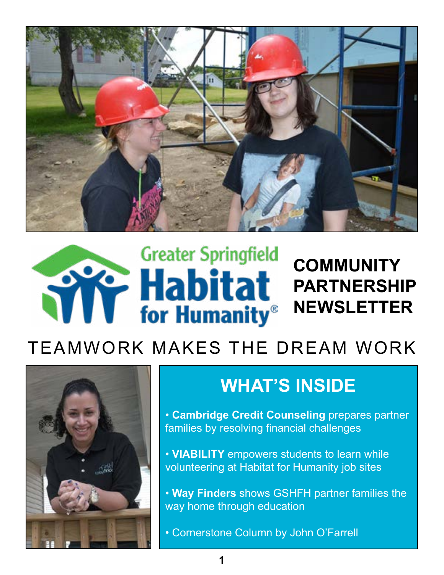

### **Greater Springfield COMMUNITY Time Habitat PARTNERSHIP NEWSLETTER**

# TEAMWORK MAKES THE DREAM WORK



# **WHAT'S INSIDE**

• **Cambridge Credit Counseling** prepares partner families by resolving financial challenges

• **VIABILITY** empowers students to learn while volunteering at Habitat for Humanity job sites

• **Way Finders** shows GSHFH partner families the way home through education

• Cornerstone Column by John O'Farrell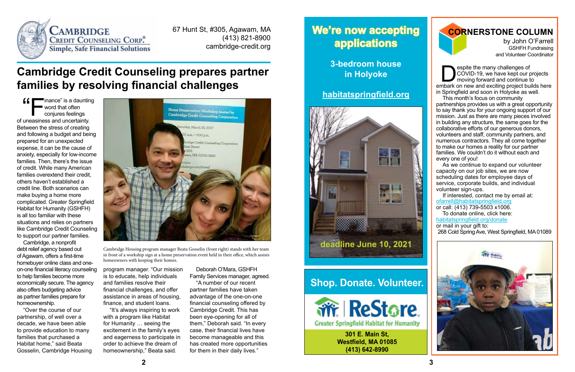**Despite the many challenges of<br>COVID-19, we have kept our p<br>moving forward and continue to<br>the many and exciting project built** COVID-19, we have kept our projects moving forward and continue to embark on new and exciting project builds here in Springfield and soon in Holyoke as well.

This month's focus on community partnerships provides us with a great opportunity to say thank you for your ongoing support of our mission. Just as there are many pieces involved in building any structure, the same goes for the collaborative efforts of our generous donors, volunteers and staff, community partners, and numerous contractors. They all come together to make our homes a reality for our partner families. We couldn't do it without each and every one of you!

As we continue to expand our volunteer capacity on our job sites, we are now scheduling dates for employee days of service, corporate builds, and individual volunteer sign-ups.

If interested, contact me by email at: [ofarrell@habitatspringfield.org](mailto:ofarrell%40habitatspringfield.org?subject=I%20want%20to%20volunteer%20for%20GSHFH) or call: (413) 739-5503 x1006.

 $\left($   $\left\langle \right\rangle$   $\right\langle$   $\right\langle$  inance" is a daunting word that often conjures feelings of uneasiness and uncertainty. Between the stress of creating and following a budget and being prepared for an unexpected expense, it can be the cause of anxiety, especially for low-income families. Then, there's the issue of credit. While many American families overextend their credit, others haven't established a credit line. Both scenarios can make buying a home more complicated. Greater Springfield Habitat for Humanity (GSHFH) is all too familiar with these situations and relies on partners like Cambridge Credit Counseling to support our partner families.

To donate online, click here: [habitatspringfield.org/donate](http://habitatspringfield.org/donate)

or mail in your gift to: 268 Cold Spring Ave, West Springfield, MA 01089



#### **CORNERSTONE COLUMN**

by John O'Farrell GSHFH Fundraising and Volunteer Coordinator

### **Cambridge Credit Counseling prepares partner families by resolving financial challenges**

Cambridge, a nonprofit debt relief agency based out of Agawam, offers a first-time homebuyer online class and oneon-one financial literacy counseling to help families become more economically secure. The agency also offers budgeting advice as partner families prepare for homeownership.

"Over the course of our partnership, of well over a decade, we have been able to provide education to many families that purchased a Habitat home," said Beata Gosselin, Cambridge Housing



program manager. "Our mission is to educate, help individuals and families resolve their financial challenges, and offer assistance in areas of housing, finance, and student loans.

"It's always inspiring to work with a program like Habitat for Humanity … seeing the excitement in the family's eyes and eagerness to participate in order to achieve the dream of homeownership," Beata said.

Deborah O'Mara, GSHFH Family Services manager, agreed.

"A number of our recent

partner families have taken advantage of the one-on-one financial counseling offered by Cambridge Credit. This has been eye-opening for all of them," Deborah said. "In every case, their financial lives have become manageable and this has created more opportunities for them in their daily lives."



67 Hunt St, #305, Agawam, MA (413) 821-8900 cambridge-credit.org

Cambridge Housing program manager Beata Gosselin (front right) stands with her team in front of a workship sign at a home preservation event held in their office, which assists homeowners with keeping their homes.

### **We're now accepting applications**

**3-bedroom house in Holyoke**

#### **[habitatspringfield.org](http://habitatspringfield.org)**

### **Shop. Donate. Volunteer.**



**301 E. Main St, Westfield, MA 01085 (413) 642-8990**